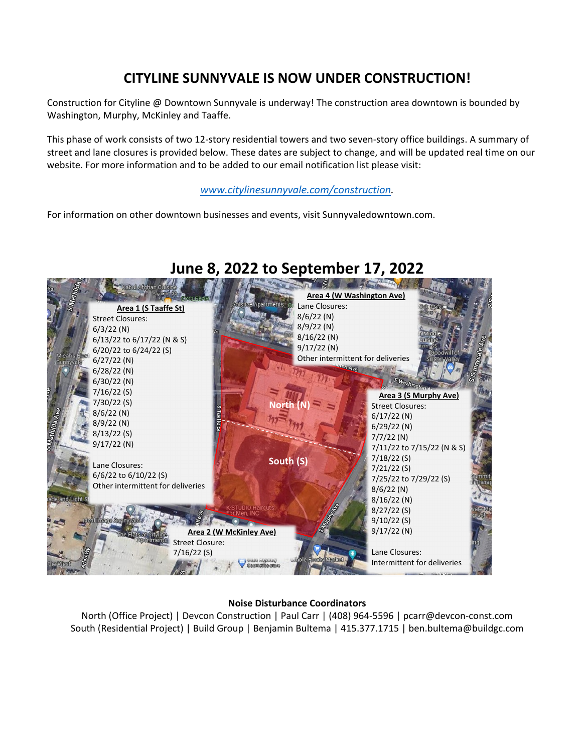## **CITYLINE SUNNYVALE IS NOW UNDER CONSTRUCTION!**

Construction for Cityline @ Downtown Sunnyvale is underway! The construction area downtown is bounded by Washington, Murphy, McKinley and Taaffe.

This phase of work consists of two 12-story residential towers and two seven-story office buildings. A summary of street and lane closures is provided below. These dates are subject to change, and will be updated real time on our website. For more information and to be added to our email notification list please visit:

### *[www.citylinesunnyvale.com/construction.](http://www.citylinesunnyvale.com/construction)*

For information on other downtown businesses and events, visit Sunnyvaledowntown.com.



# **June 8, 2022 to September 17, 2022**

#### **Noise Disturbance Coordinators**

North (Office Project) | Devcon Construction | Paul Carr | (408) 964-5596 | pcarr@devcon-const.com South (Residential Project) | Build Group | Benjamin Bultema | 415.377.1715 | ben.bultema@buildgc.com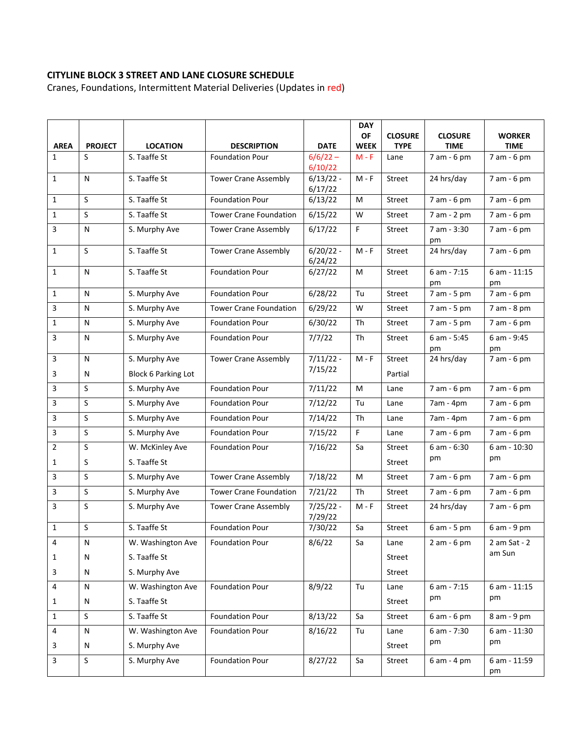### **CITYLINE BLOCK 3 STREET AND LANE CLOSURE SCHEDULE**

Cranes, Foundations, Intermittent Material Deliveries (Updates in red)

|                         |                |                            |                               |                        | <b>DAY</b><br>OF | <b>CLOSURE</b> | <b>CLOSURE</b>      | <b>WORKER</b>        |
|-------------------------|----------------|----------------------------|-------------------------------|------------------------|------------------|----------------|---------------------|----------------------|
| <b>AREA</b>             | <b>PROJECT</b> | <b>LOCATION</b>            | <b>DESCRIPTION</b>            | <b>DATE</b>            | <b>WEEK</b>      | <b>TYPE</b>    | <b>TIME</b>         | <b>TIME</b>          |
| $\mathbf{1}$            | S              | S. Taaffe St               | <b>Foundation Pour</b>        | $6/6/22 -$<br>6/10/22  | $M - F$          | Lane           | 7 am - 6 pm         | 7 am - 6 pm          |
| $\mathbf{1}$            | N              | S. Taaffe St               | <b>Tower Crane Assembly</b>   | $6/13/22 -$<br>6/17/22 | $M - F$          | Street         | 24 hrs/day          | 7 am - 6 pm          |
| $\mathbf{1}$            | S              | S. Taaffe St               | <b>Foundation Pour</b>        | 6/13/22                | M                | Street         | 7 am - 6 pm         | 7 am - 6 pm          |
| $\mathbf{1}$            | S              | S. Taaffe St               | <b>Tower Crane Foundation</b> | 6/15/22                | W                | Street         | 7 am - 2 pm         | 7 am - 6 pm          |
| 3                       | N              | S. Murphy Ave              | <b>Tower Crane Assembly</b>   | 6/17/22                | F                | Street         | 7 am - 3:30<br>pm   | 7 am - 6 pm          |
| $\mathbf{1}$            | S              | S. Taaffe St               | <b>Tower Crane Assembly</b>   | $6/20/22 -$<br>6/24/22 | $M - F$          | Street         | 24 hrs/day          | 7 am - 6 pm          |
| $\mathbf{1}$            | N              | S. Taaffe St               | <b>Foundation Pour</b>        | 6/27/22                | M                | Street         | $6 am - 7:15$<br>pm | $6$ am - 11:15<br>pm |
| 1                       | N              | S. Murphy Ave              | <b>Foundation Pour</b>        | 6/28/22                | Tu               | Street         | 7 am - 5 pm         | 7 am - 6 pm          |
| 3                       | N              | S. Murphy Ave              | <b>Tower Crane Foundation</b> | 6/29/22                | W                | Street         | 7 am - 5 pm         | 7 am - 8 pm          |
| $\mathbf{1}$            | N              | S. Murphy Ave              | <b>Foundation Pour</b>        | 6/30/22                | Th               | Street         | 7 am - 5 pm         | 7 am - 6 pm          |
| 3                       | N              | S. Murphy Ave              | <b>Foundation Pour</b>        | 7/7/22                 | Th               | Street         | 6 am - 5:45<br>pm   | 6 am - 9:45<br>pm    |
| 3                       | N              | S. Murphy Ave              | <b>Tower Crane Assembly</b>   | $7/11/22 -$            | $M - F$          | Street         | 24 hrs/day          | 7 am - 6 pm          |
| 3                       | N              | <b>Block 6 Parking Lot</b> |                               | 7/15/22                |                  | Partial        |                     |                      |
| 3                       | S              | S. Murphy Ave              | <b>Foundation Pour</b>        | 7/11/22                | M                | Lane           | 7 am - 6 pm         | 7 am - 6 pm          |
| 3                       | $\sf S$        | S. Murphy Ave              | <b>Foundation Pour</b>        | 7/12/22                | Tu               | Lane           | 7am - 4pm           | 7 am - 6 pm          |
| 3                       | S              | S. Murphy Ave              | <b>Foundation Pour</b>        | 7/14/22                | Th               | Lane           | 7am - 4pm           | 7 am - 6 pm          |
| 3                       | S              | S. Murphy Ave              | <b>Foundation Pour</b>        | 7/15/22                | F                | Lane           | 7 am - 6 pm         | 7 am - 6 pm          |
| $\overline{2}$          | S              | W. McKinley Ave            | <b>Foundation Pour</b>        | 7/16/22                | Sa               | Street         | 6 am - 6:30         | 6 am - 10:30         |
| 1                       | S              | S. Taaffe St               |                               |                        |                  | Street         | pm                  | pm                   |
| 3                       | S              | S. Murphy Ave              | <b>Tower Crane Assembly</b>   | 7/18/22                | M                | Street         | 7 am - 6 pm         | 7 am - 6 pm          |
| 3                       | S              | S. Murphy Ave              | <b>Tower Crane Foundation</b> | 7/21/22                | Th               | Street         | 7 am - 6 pm         | 7 am - 6 pm          |
| 3                       | S              | S. Murphy Ave              | <b>Tower Crane Assembly</b>   | $7/25/22 -$<br>7/29/22 | $M - F$          | Street         | 24 hrs/day          | $7 am - 6 pm$        |
| $\mathbf{1}$            | S              | S. Taaffe St               | <b>Foundation Pour</b>        | 7/30/22                | Sa               | Street         | 6 am - 5 pm         | 6 am - 9 pm          |
| 4                       | N              | W. Washington Ave          | <b>Foundation Pour</b>        | 8/6/22                 | Sa               | Lane           | 2 am - 6 pm         | 2 am Sat - 2         |
| $\mathbf{1}$            | N              | S. Taaffe St               |                               |                        |                  | Street         |                     | am Sun               |
| 3                       | N              | S. Murphy Ave              |                               |                        |                  | Street         |                     |                      |
| 4                       | N              | W. Washington Ave          | <b>Foundation Pour</b>        | 8/9/22                 | Tu               | Lane           | 6 am - 7:15         | 6 am - 11:15         |
| $\mathbf{1}$            | N              | S. Taaffe St               |                               |                        |                  | Street         | pm                  | pm                   |
| $\mathbf{1}$            | S              | S. Taaffe St               | Foundation Pour               | 8/13/22                | Sa               | Street         | 6 am - 6 pm         | 8 am - 9 pm          |
| 4                       | N              | W. Washington Ave          | <b>Foundation Pour</b>        | 8/16/22                | Tu               | Lane           | 6 am - 7:30         | 6 am - 11:30         |
| 3                       | N              | S. Murphy Ave              |                               |                        |                  | Street         | pm                  | pm                   |
| $\overline{\mathbf{3}}$ | S              | S. Murphy Ave              | <b>Foundation Pour</b>        | 8/27/22                | Sa               | Street         | 6 am - 4 pm         | 6 am - 11:59<br>pm   |